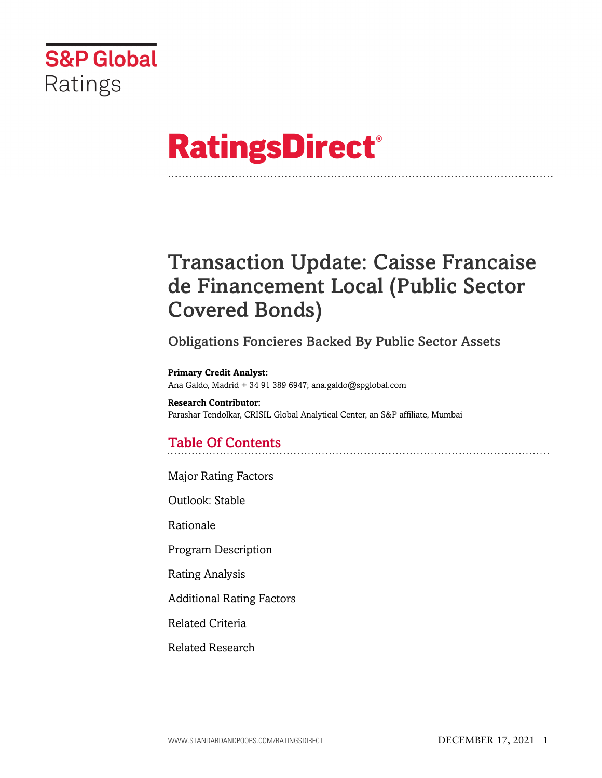

# **RatingsDirect®**

## Transaction Update: Caisse Francaise de Financement Local (Public Sector Covered Bonds)

## Obligations Foncieres Backed By Public Sector Assets

**Primary Credit Analyst:** Ana Galdo, Madrid + 34 91 389 6947; ana.galdo@spglobal.com

**Research Contributor:** Parashar Tendolkar, CRISIL Global Analytical Center, an S&P affiliate, Mumbai

## Table Of Contents

[Major Rating Factors](#page-1-0)

[Outlook: Stable](#page-2-0)

[Rationale](#page-2-1)

[Program Description](#page-3-0)

[Rating Analysis](#page-4-0)

[Additional Rating Factors](#page-10-0)

[Related Criteria](#page-11-0)

[Related Research](#page-11-1)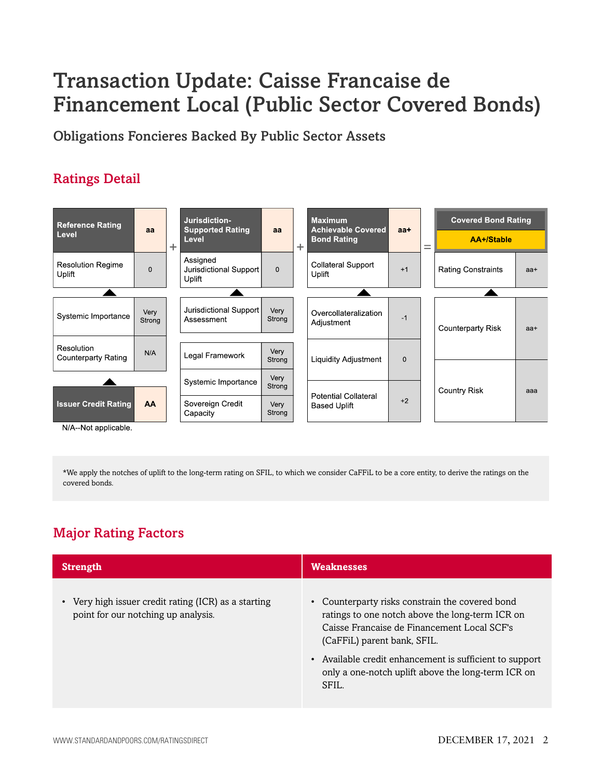## Transaction Update: Caisse Francaise de Financement Local (Public Sector Covered Bonds)

Obligations Foncieres Backed By Public Sector Assets

## Ratings Detail



\*We apply the notches of uplift to the long-term rating on SFIL, to which we consider CaFFiL to be a core entity, to derive the ratings on the covered bonds.

## <span id="page-1-0"></span>Major Rating Factors

| <b>Strength</b>                                                                             | <b>Weaknesses</b>                                                                                                                                                                                                                                                                                        |
|---------------------------------------------------------------------------------------------|----------------------------------------------------------------------------------------------------------------------------------------------------------------------------------------------------------------------------------------------------------------------------------------------------------|
| • Very high issuer credit rating (ICR) as a starting<br>point for our notching up analysis. | Counterparty risks constrain the covered bond<br>ratings to one notch above the long-term ICR on<br>Caisse Française de Financement Local SCF's<br>(CaFFiL) parent bank, SFIL.<br>• Available credit enhancement is sufficient to support<br>only a one-notch uplift above the long-term ICR on<br>SFIL. |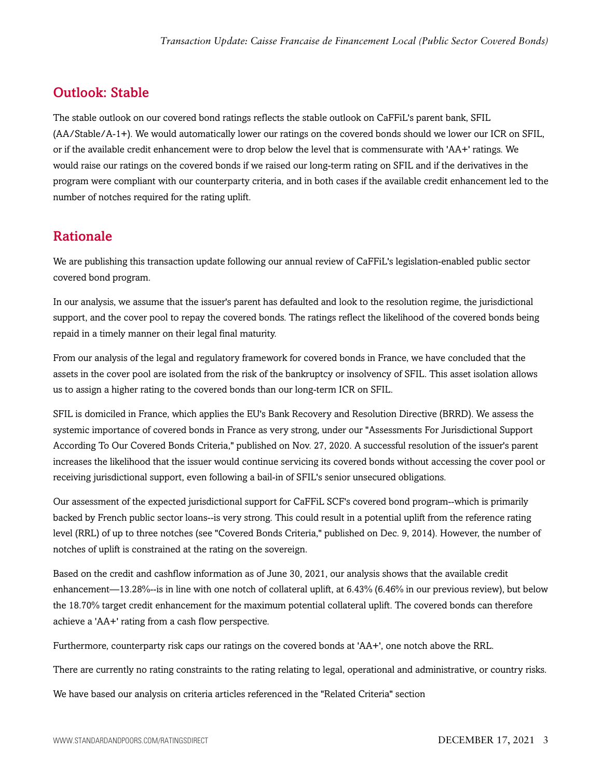## <span id="page-2-0"></span>Outlook: Stable

The stable outlook on our covered bond ratings reflects the stable outlook on CaFFiL's parent bank, SFIL (AA/Stable/A-1+). We would automatically lower our ratings on the covered bonds should we lower our ICR on SFIL, or if the available credit enhancement were to drop below the level that is commensurate with 'AA+' ratings. We would raise our ratings on the covered bonds if we raised our long-term rating on SFIL and if the derivatives in the program were compliant with our counterparty criteria, and in both cases if the available credit enhancement led to the number of notches required for the rating uplift.

## <span id="page-2-1"></span>Rationale

We are publishing this transaction update following our annual review of CaFFiL's legislation-enabled public sector covered bond program.

In our analysis, we assume that the issuer's parent has defaulted and look to the resolution regime, the jurisdictional support, and the cover pool to repay the covered bonds. The ratings reflect the likelihood of the covered bonds being repaid in a timely manner on their legal final maturity.

From our analysis of the legal and regulatory framework for covered bonds in France, we have concluded that the assets in the cover pool are isolated from the risk of the bankruptcy or insolvency of SFIL. This asset isolation allows us to assign a higher rating to the covered bonds than our long-term ICR on SFIL.

SFIL is domiciled in France, which applies the EU's Bank Recovery and Resolution Directive (BRRD). We assess the systemic importance of covered bonds in France as very strong, under our "Assessments For Jurisdictional Support According To Our Covered Bonds Criteria," published on Nov. 27, 2020. A successful resolution of the issuer's parent increases the likelihood that the issuer would continue servicing its covered bonds without accessing the cover pool or receiving jurisdictional support, even following a bail-in of SFIL's senior unsecured obligations.

Our assessment of the expected jurisdictional support for CaFFiL SCF's covered bond program--which is primarily backed by French public sector loans--is very strong. This could result in a potential uplift from the reference rating level (RRL) of up to three notches (see "Covered Bonds Criteria," published on Dec. 9, 2014). However, the number of notches of uplift is constrained at the rating on the sovereign.

Based on the credit and cashflow information as of June 30, 2021, our analysis shows that the available credit enhancement—13.28%--is in line with one notch of collateral uplift, at 6.43% (6.46% in our previous review), but below the 18.70% target credit enhancement for the maximum potential collateral uplift. The covered bonds can therefore achieve a 'AA+' rating from a cash flow perspective.

Furthermore, counterparty risk caps our ratings on the covered bonds at 'AA+', one notch above the RRL.

There are currently no rating constraints to the rating relating to legal, operational and administrative, or country risks.

We have based our analysis on criteria articles referenced in the "Related Criteria" section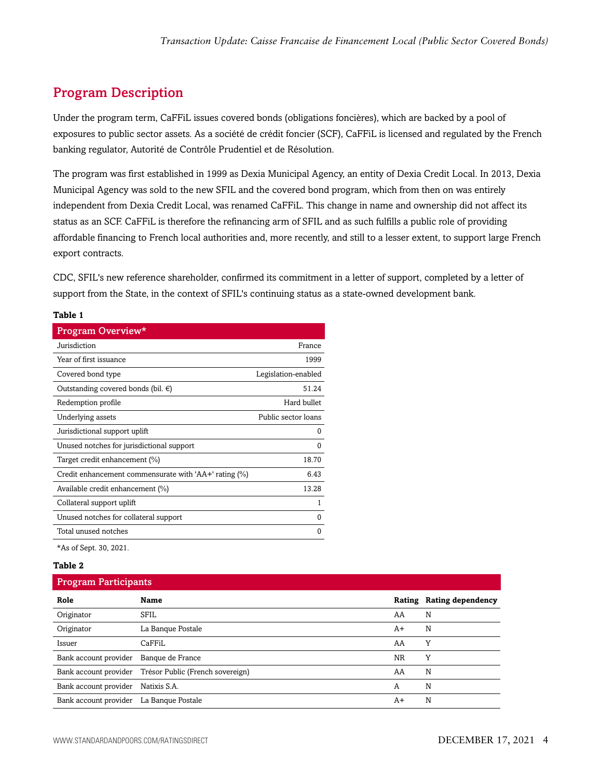## <span id="page-3-0"></span>Program Description

Under the program term, CaFFiL issues covered bonds (obligations foncières), which are backed by a pool of exposures to public sector assets. As a société de crédit foncier (SCF), CaFFiL is licensed and regulated by the French banking regulator, Autorité de Contrôle Prudentiel et de Résolution.

The program was first established in 1999 as Dexia Municipal Agency, an entity of Dexia Credit Local. In 2013, Dexia Municipal Agency was sold to the new SFIL and the covered bond program, which from then on was entirely independent from Dexia Credit Local, was renamed CaFFiL. This change in name and ownership did not affect its status as an SCF. CaFFiL is therefore the refinancing arm of SFIL and as such fulfills a public role of providing affordable financing to French local authorities and, more recently, and still to a lesser extent, to support large French export contracts.

CDC, SFIL's new reference shareholder, confirmed its commitment in a letter of support, completed by a letter of support from the State, in the context of SFIL's continuing status as a state-owned development bank.

#### **Table 1**

| Program Overview*                                     |                     |
|-------------------------------------------------------|---------------------|
| Jurisdiction                                          | France              |
| Year of first issuance                                | 1999                |
| Covered bond type                                     | Legislation-enabled |
| Outstanding covered bonds (bil. $\epsilon$ )          | 51.24               |
| Redemption profile                                    | Hard bullet         |
| Underlying assets                                     | Public sector loans |
| Jurisdictional support uplift                         | 0                   |
| Unused notches for jurisdictional support             | 0                   |
| Target credit enhancement (%)                         | 18.70               |
| Credit enhancement commensurate with 'AA+' rating (%) | 6.43                |
| Available credit enhancement (%)                      | 13.28               |
| Collateral support uplift                             | 1                   |
| Unused notches for collateral support                 | 0                   |
| Total unused notches                                  | 0                   |
| *As of Sept. 30, 2021.                                |                     |

#### **Table 2**

#### Program Participants

| Role                                    | <b>Name</b>                                            |           | Rating Rating dependency |
|-----------------------------------------|--------------------------------------------------------|-----------|--------------------------|
| Originator                              | <b>SFIL</b>                                            | AA        | N                        |
| Originator                              | La Banque Postale                                      | A+        | N                        |
| Issuer                                  | CaFFiL                                                 | AA        | Y                        |
| Bank account provider                   | Banque de France                                       | <b>NR</b> | Y                        |
|                                         | Bank account provider Trésor Public (French sovereign) | AA        | N                        |
| Bank account provider                   | Natixis S.A.                                           | А         | N                        |
| Bank account provider La Banque Postale |                                                        | A+        | N                        |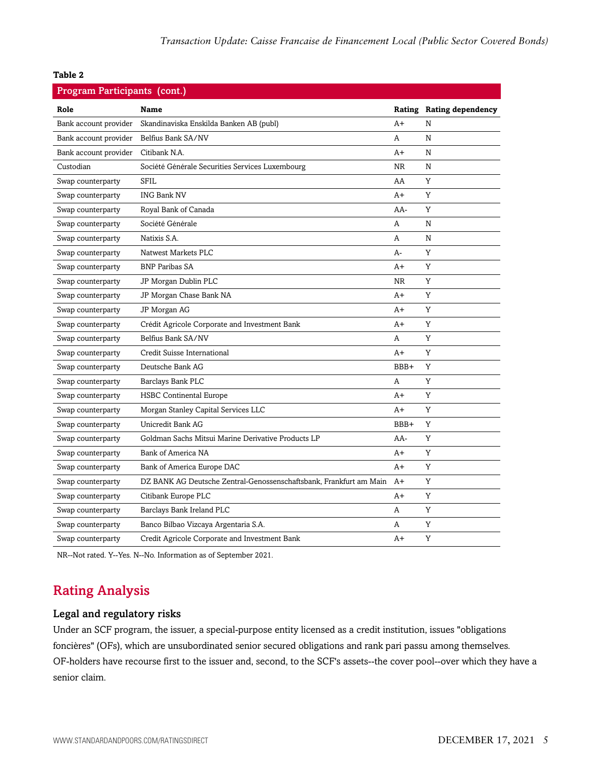| Program Participants (cont.) |                                                                    |           |                          |  |
|------------------------------|--------------------------------------------------------------------|-----------|--------------------------|--|
| Role                         | <b>Name</b>                                                        |           | Rating Rating dependency |  |
| Bank account provider        | Skandinaviska Enskilda Banken AB (publ)                            | A+        | N                        |  |
| Bank account provider        | Belfius Bank SA/NV                                                 | A         | N                        |  |
| Bank account provider        | Citibank N.A.                                                      | A+        | N                        |  |
| Custodian                    | Société Générale Securities Services Luxembourg                    | <b>NR</b> | N                        |  |
| Swap counterparty            | <b>SFIL</b>                                                        | AA        | Y                        |  |
| Swap counterparty            | <b>ING Bank NV</b>                                                 | A+        | Y                        |  |
| Swap counterparty            | Royal Bank of Canada                                               | AA-       | Y                        |  |
| Swap counterparty            | Société Générale                                                   | A         | N                        |  |
| Swap counterparty            | Natixis S.A.                                                       | A         | N                        |  |
| Swap counterparty            | Natwest Markets PLC                                                | A-        | Y                        |  |
| Swap counterparty            | <b>BNP</b> Paribas SA                                              | A+        | Y                        |  |
| Swap counterparty            | JP Morgan Dublin PLC                                               | <b>NR</b> | Y                        |  |
| Swap counterparty            | JP Morgan Chase Bank NA                                            | A+        | Y                        |  |
| Swap counterparty            | JP Morgan AG                                                       | A+        | Y                        |  |
| Swap counterparty            | Crédit Agricole Corporate and Investment Bank                      | A+        | Y                        |  |
| Swap counterparty            | Belfius Bank SA/NV                                                 | A         | Y                        |  |
| Swap counterparty            | Credit Suisse International                                        | $A+$      | Y                        |  |
| Swap counterparty            | Deutsche Bank AG                                                   | BBB+      | Y                        |  |
| Swap counterparty            | Barclays Bank PLC                                                  | Α         | Y                        |  |
| Swap counterparty            | <b>HSBC Continental Europe</b>                                     | A+        | Y                        |  |
| Swap counterparty            | Morgan Stanley Capital Services LLC                                | A+        | Y                        |  |
| Swap counterparty            | Unicredit Bank AG                                                  | BBB+      | Y                        |  |
| Swap counterparty            | Goldman Sachs Mitsui Marine Derivative Products LP                 | AA-       | Y                        |  |
| Swap counterparty            | Bank of America NA                                                 | A+        | Y                        |  |
| Swap counterparty            | Bank of America Europe DAC                                         | A+        | Y                        |  |
| Swap counterparty            | DZ BANK AG Deutsche Zentral-Genossenschaftsbank, Frankfurt am Main | $A+$      | Y                        |  |
| Swap counterparty            | Citibank Europe PLC                                                | A+        | Y                        |  |
| Swap counterparty            | Barclays Bank Ireland PLC                                          | A         | Y                        |  |
| Swap counterparty            | Banco Bilbao Vizcaya Argentaria S.A.                               | A         | Y                        |  |
| Swap counterparty            | Credit Agricole Corporate and Investment Bank                      | $A+$      | Y                        |  |

<span id="page-4-0"></span>NR--Not rated. Y--Yes. N--No. Information as of September 2021.

### Rating Analysis

#### Legal and regulatory risks

Under an SCF program, the issuer, a special-purpose entity licensed as a credit institution, issues "obligations foncières" (OFs), which are unsubordinated senior secured obligations and rank pari passu among themselves. OF-holders have recourse first to the issuer and, second, to the SCF's assets--the cover pool--over which they have a senior claim.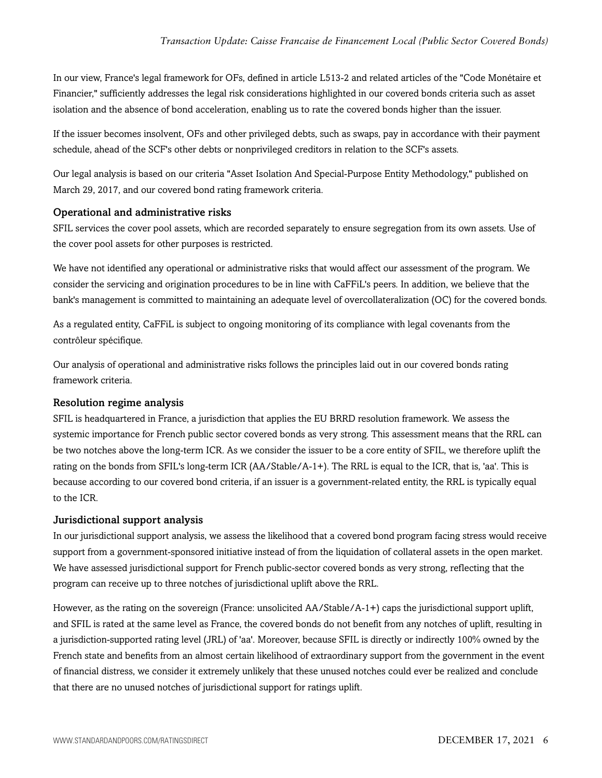In our view, France's legal framework for OFs, defined in article L513-2 and related articles of the "Code Monétaire et Financier," sufficiently addresses the legal risk considerations highlighted in our covered bonds criteria such as asset isolation and the absence of bond acceleration, enabling us to rate the covered bonds higher than the issuer.

If the issuer becomes insolvent, OFs and other privileged debts, such as swaps, pay in accordance with their payment schedule, ahead of the SCF's other debts or nonprivileged creditors in relation to the SCF's assets.

Our legal analysis is based on our criteria "Asset Isolation And Special-Purpose Entity Methodology," published on March 29, 2017, and our covered bond rating framework criteria.

#### Operational and administrative risks

SFIL services the cover pool assets, which are recorded separately to ensure segregation from its own assets. Use of the cover pool assets for other purposes is restricted.

We have not identified any operational or administrative risks that would affect our assessment of the program. We consider the servicing and origination procedures to be in line with CaFFiL's peers. In addition, we believe that the bank's management is committed to maintaining an adequate level of overcollateralization (OC) for the covered bonds.

As a regulated entity, CaFFiL is subject to ongoing monitoring of its compliance with legal covenants from the contrôleur spécifique.

Our analysis of operational and administrative risks follows the principles laid out in our covered bonds rating framework criteria.

#### Resolution regime analysis

SFIL is headquartered in France, a jurisdiction that applies the EU BRRD resolution framework. We assess the systemic importance for French public sector covered bonds as very strong. This assessment means that the RRL can be two notches above the long-term ICR. As we consider the issuer to be a core entity of SFIL, we therefore uplift the rating on the bonds from SFIL's long-term ICR (AA/Stable/A-1+). The RRL is equal to the ICR, that is, 'aa'. This is because according to our covered bond criteria, if an issuer is a government-related entity, the RRL is typically equal to the ICR.

#### Jurisdictional support analysis

In our jurisdictional support analysis, we assess the likelihood that a covered bond program facing stress would receive support from a government-sponsored initiative instead of from the liquidation of collateral assets in the open market. We have assessed jurisdictional support for French public-sector covered bonds as very strong, reflecting that the program can receive up to three notches of jurisdictional uplift above the RRL.

However, as the rating on the sovereign (France: unsolicited AA/Stable/A-1+) caps the jurisdictional support uplift, and SFIL is rated at the same level as France, the covered bonds do not benefit from any notches of uplift, resulting in a jurisdiction-supported rating level (JRL) of 'aa'. Moreover, because SFIL is directly or indirectly 100% owned by the French state and benefits from an almost certain likelihood of extraordinary support from the government in the event of financial distress, we consider it extremely unlikely that these unused notches could ever be realized and conclude that there are no unused notches of jurisdictional support for ratings uplift.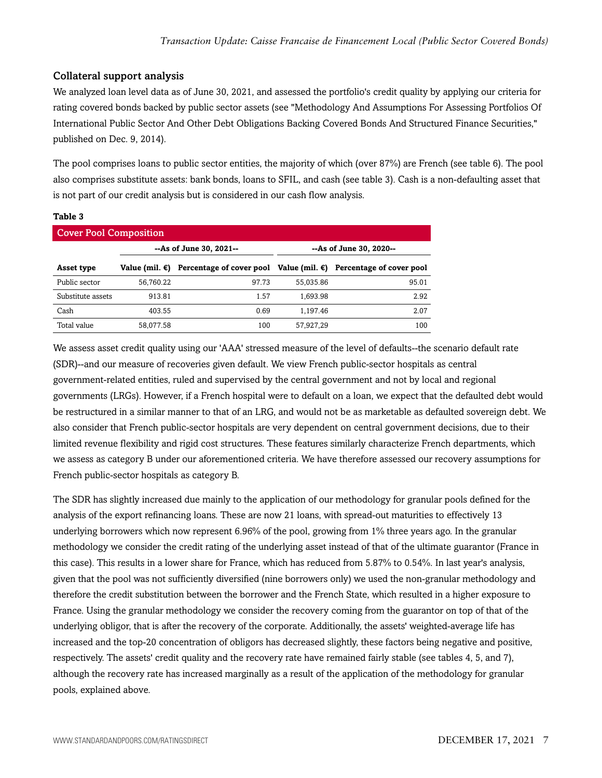#### Collateral support analysis

We analyzed loan level data as of June 30, 2021, and assessed the portfolio's credit quality by applying our criteria for rating covered bonds backed by public sector assets (see "Methodology And Assumptions For Assessing Portfolios Of International Public Sector And Other Debt Obligations Backing Covered Bonds And Structured Finance Securities," published on Dec. 9, 2014).

The pool comprises loans to public sector entities, the majority of which (over 87%) are French (see table 6). The pool also comprises substitute assets: bank bonds, loans to SFIL, and cash (see table 3). Cash is a non-defaulting asset that is not part of our credit analysis but is considered in our cash flow analysis.

#### **Table 3**

| <b>Cover Pool Composition</b> |                         |       |           |                                                                            |  |
|-------------------------------|-------------------------|-------|-----------|----------------------------------------------------------------------------|--|
|                               | --As of June 30, 2021-- |       |           | --As of June 30, 2020--                                                    |  |
| Asset type                    | Value (mil. €)          |       |           | Percentage of cover pool Value (mil. $\epsilon$ ) Percentage of cover pool |  |
| Public sector                 | 56.760.22               | 97.73 | 55.035.86 | 95.01                                                                      |  |
| Substitute assets             | 913.81                  | 1.57  | 1.693.98  | 2.92                                                                       |  |
| Cash                          | 403.55                  | 0.69  | 1.197.46  | 2.07                                                                       |  |
| Total value                   | 58.077.58               | 100   | 57,927,29 | 100                                                                        |  |

We assess asset credit quality using our 'AAA' stressed measure of the level of defaults--the scenario default rate (SDR)--and our measure of recoveries given default. We view French public-sector hospitals as central government-related entities, ruled and supervised by the central government and not by local and regional governments (LRGs). However, if a French hospital were to default on a loan, we expect that the defaulted debt would be restructured in a similar manner to that of an LRG, and would not be as marketable as defaulted sovereign debt. We also consider that French public-sector hospitals are very dependent on central government decisions, due to their limited revenue flexibility and rigid cost structures. These features similarly characterize French departments, which we assess as category B under our aforementioned criteria. We have therefore assessed our recovery assumptions for French public-sector hospitals as category B.

The SDR has slightly increased due mainly to the application of our methodology for granular pools defined for the analysis of the export refinancing loans. These are now 21 loans, with spread-out maturities to effectively 13 underlying borrowers which now represent 6.96% of the pool, growing from 1% three years ago. In the granular methodology we consider the credit rating of the underlying asset instead of that of the ultimate guarantor (France in this case). This results in a lower share for France, which has reduced from 5.87% to 0.54%. In last year's analysis, given that the pool was not sufficiently diversified (nine borrowers only) we used the non-granular methodology and therefore the credit substitution between the borrower and the French State, which resulted in a higher exposure to France. Using the granular methodology we consider the recovery coming from the guarantor on top of that of the underlying obligor, that is after the recovery of the corporate. Additionally, the assets' weighted-average life has increased and the top-20 concentration of obligors has decreased slightly, these factors being negative and positive, respectively. The assets' credit quality and the recovery rate have remained fairly stable (see tables 4, 5, and 7), although the recovery rate has increased marginally as a result of the application of the methodology for granular pools, explained above.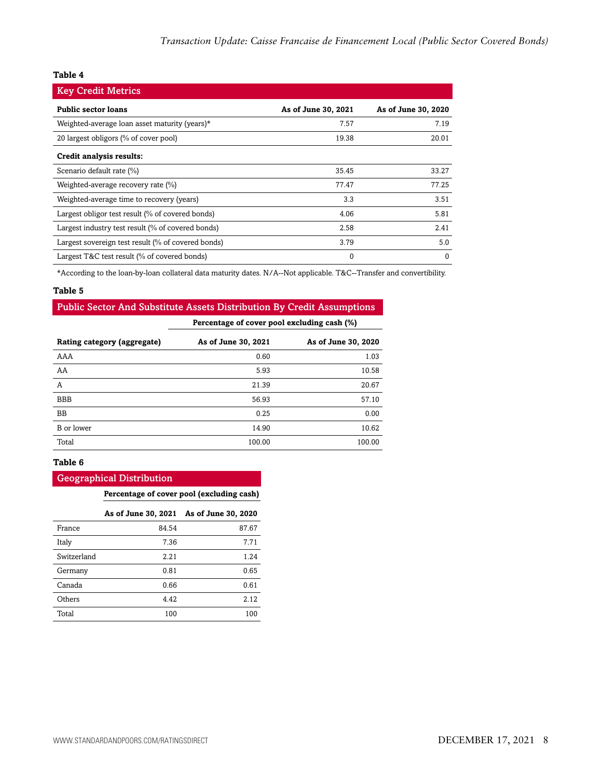| <b>Key Credit Metrics</b>                          |                     |                     |
|----------------------------------------------------|---------------------|---------------------|
| <b>Public sector loans</b>                         | As of June 30, 2021 | As of June 30, 2020 |
| Weighted-average loan asset maturity (years)*      | 7.57                | 7.19                |
| 20 largest obligors (% of cover pool)              | 19.38               | 20.01               |
| Credit analysis results:                           |                     |                     |
| Scenario default rate (%)                          | 35.45               | 33.27               |
| Weighted-average recovery rate (%)                 | 77.47               | 77.25               |
| Weighted-average time to recovery (years)          | 3.3                 | 3.51                |
| Largest obligor test result (% of covered bonds)   | 4.06                | 5.81                |
| Largest industry test result (% of covered bonds)  | 2.58                | 2.41                |
| Largest sovereign test result (% of covered bonds) | 3.79                | 5.0                 |
| Largest T&C test result (% of covered bonds)       | $\Omega$            | $\Omega$            |

\*According to the loan-by-loan collateral data maturity dates. N/A--Not applicable. T&C--Transfer and convertibility.

#### **Table 5**

#### Public Sector And Substitute Assets Distribution By Credit Assumptions

**Percentage of cover pool excluding cash (%)**

| Rating category (aggregate) | As of June 30, 2021 | As of June 30, 2020 |
|-----------------------------|---------------------|---------------------|
| AAA                         | 0.60                | 1.03                |
| AA                          | 5.93                | 10.58               |
| A                           | 21.39               | 20.67               |
| <b>BBB</b>                  | 56.93               | 57.10               |
| <b>BB</b>                   | 0.25                | 0.00                |
| B or lower                  | 14.90               | 10.62               |
| Total                       | 100.00              | 100.00              |

#### **Table 6**

#### Geographical Distribution

**Percentage of cover pool (excluding cash)**

|             | As of June 30, 2021 | As of June 30, 2020 |
|-------------|---------------------|---------------------|
| France      | 84.54               | 87.67               |
| Italy       | 7.36                | 7.71                |
| Switzerland | 2.21                | 1.24                |
| Germany     | 0.81                | 0.65                |
| Canada      | 0.66                | 0.61                |
| Others      | 4.42                | 2.12                |
| Total       | 100                 | 100                 |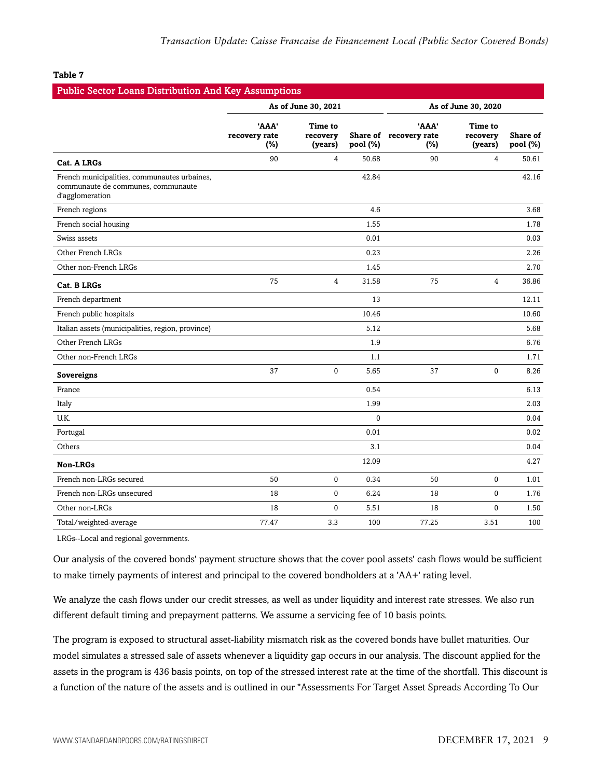| <b>Public Sector Loans Distribution And Key Assumptions</b>                                           |                               |                                |                     |                                        |                                |                             |
|-------------------------------------------------------------------------------------------------------|-------------------------------|--------------------------------|---------------------|----------------------------------------|--------------------------------|-----------------------------|
|                                                                                                       | As of June 30, 2021           |                                | As of June 30, 2020 |                                        |                                |                             |
|                                                                                                       | 'AAA'<br>recovery rate<br>(%) | Time to<br>recovery<br>(years) | pool (%)            | 'AAA'<br>Share of recovery rate<br>(%) | Time to<br>recovery<br>(years) | <b>Share of</b><br>pool (%) |
| Cat. A LRGs                                                                                           | 90                            | $\overline{4}$                 | 50.68               | 90                                     | 4                              | 50.61                       |
| French municipalities, communautes urbaines,<br>communaute de communes, communaute<br>d'agglomeration |                               |                                | 42.84               |                                        |                                | 42.16                       |
| French regions                                                                                        |                               |                                | 4.6                 |                                        |                                | 3.68                        |
| French social housing                                                                                 |                               |                                | 1.55                |                                        |                                | 1.78                        |
| Swiss assets                                                                                          |                               |                                | 0.01                |                                        |                                | 0.03                        |
| Other French LRGs                                                                                     |                               |                                | 0.23                |                                        |                                | 2.26                        |
| Other non-French LRGs                                                                                 |                               |                                | 1.45                |                                        |                                | 2.70                        |
| Cat. B LRGs                                                                                           | 75                            | $\overline{4}$                 | 31.58               | 75                                     | $\overline{4}$                 | 36.86                       |
| French department                                                                                     |                               |                                | 13                  |                                        |                                | 12.11                       |
| French public hospitals                                                                               |                               |                                | 10.46               |                                        |                                | 10.60                       |
| Italian assets (municipalities, region, province)                                                     |                               |                                | 5.12                |                                        |                                | 5.68                        |
| Other French LRGs                                                                                     |                               |                                | 1.9                 |                                        |                                | 6.76                        |
| Other non-French LRGs                                                                                 |                               |                                | 1.1                 |                                        |                                | 1.71                        |
| Sovereigns                                                                                            | 37                            | $\mathbf 0$                    | 5.65                | 37                                     | $\mathbf{0}$                   | 8.26                        |
| France                                                                                                |                               |                                | 0.54                |                                        |                                | 6.13                        |
| Italy                                                                                                 |                               |                                | 1.99                |                                        |                                | 2.03                        |
| U.K.                                                                                                  |                               |                                | $\mathbf{0}$        |                                        |                                | 0.04                        |
| Portugal                                                                                              |                               |                                | 0.01                |                                        |                                | 0.02                        |
| Others                                                                                                |                               |                                | 3.1                 |                                        |                                | 0.04                        |
| <b>Non-LRGs</b>                                                                                       |                               |                                | 12.09               |                                        |                                | 4.27                        |
| French non-LRGs secured                                                                               | 50                            | $\mathbf{0}$                   | 0.34                | 50                                     | 0                              | 1.01                        |
| French non-LRGs unsecured                                                                             | 18                            | $\Omega$                       | 6.24                | 18                                     | $\Omega$                       | 1.76                        |
| Other non-LRGs                                                                                        | 18                            | $\mathbf{0}$                   | 5.51                | 18                                     | $\mathbf 0$                    | 1.50                        |
| Total/weighted-average                                                                                | 77.47                         | 3.3                            | 100                 | 77.25                                  | 3.51                           | 100                         |

LRGs--Local and regional governments.

Our analysis of the covered bonds' payment structure shows that the cover pool assets' cash flows would be sufficient to make timely payments of interest and principal to the covered bondholders at a 'AA+' rating level.

We analyze the cash flows under our credit stresses, as well as under liquidity and interest rate stresses. We also run different default timing and prepayment patterns. We assume a servicing fee of 10 basis points.

The program is exposed to structural asset-liability mismatch risk as the covered bonds have bullet maturities. Our model simulates a stressed sale of assets whenever a liquidity gap occurs in our analysis. The discount applied for the assets in the program is 436 basis points, on top of the stressed interest rate at the time of the shortfall. This discount is a function of the nature of the assets and is outlined in our "Assessments For Target Asset Spreads According To Our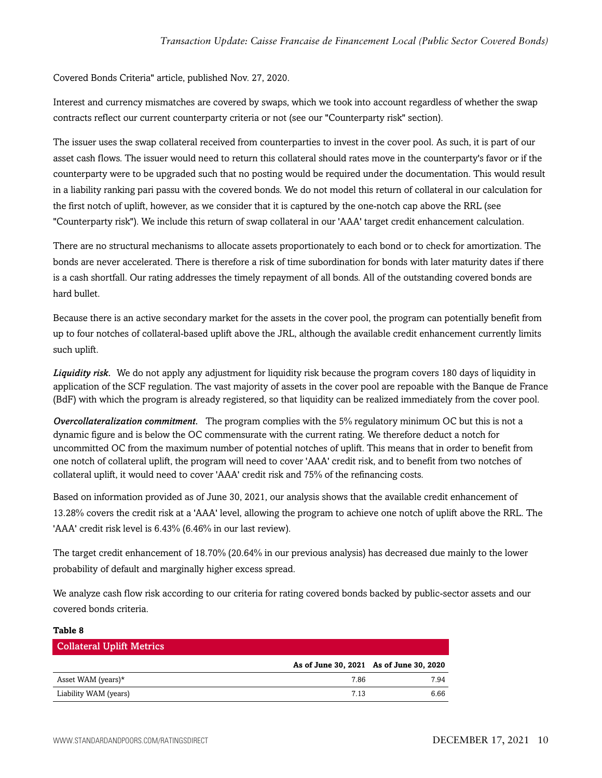Covered Bonds Criteria" article, published Nov. 27, 2020.

Interest and currency mismatches are covered by swaps, which we took into account regardless of whether the swap contracts reflect our current counterparty criteria or not (see our "Counterparty risk" section).

The issuer uses the swap collateral received from counterparties to invest in the cover pool. As such, it is part of our asset cash flows. The issuer would need to return this collateral should rates move in the counterparty's favor or if the counterparty were to be upgraded such that no posting would be required under the documentation. This would result in a liability ranking pari passu with the covered bonds. We do not model this return of collateral in our calculation for the first notch of uplift, however, as we consider that it is captured by the one-notch cap above the RRL (see "Counterparty risk"). We include this return of swap collateral in our 'AAA' target credit enhancement calculation.

There are no structural mechanisms to allocate assets proportionately to each bond or to check for amortization. The bonds are never accelerated. There is therefore a risk of time subordination for bonds with later maturity dates if there is a cash shortfall. Our rating addresses the timely repayment of all bonds. All of the outstanding covered bonds are hard bullet.

Because there is an active secondary market for the assets in the cover pool, the program can potentially benefit from up to four notches of collateral-based uplift above the JRL, although the available credit enhancement currently limits such uplift.

*Liquidity risk.* We do not apply any adjustment for liquidity risk because the program covers 180 days of liquidity in application of the SCF regulation. The vast majority of assets in the cover pool are repoable with the Banque de France (BdF) with which the program is already registered, so that liquidity can be realized immediately from the cover pool.

*Overcollateralization commitment.* The program complies with the 5% regulatory minimum OC but this is not a dynamic figure and is below the OC commensurate with the current rating. We therefore deduct a notch for uncommitted OC from the maximum number of potential notches of uplift. This means that in order to benefit from one notch of collateral uplift, the program will need to cover 'AAA' credit risk, and to benefit from two notches of collateral uplift, it would need to cover 'AAA' credit risk and 75% of the refinancing costs.

Based on information provided as of June 30, 2021, our analysis shows that the available credit enhancement of 13.28% covers the credit risk at a 'AAA' level, allowing the program to achieve one notch of uplift above the RRL. The 'AAA' credit risk level is 6.43% (6.46% in our last review).

The target credit enhancement of 18.70% (20.64% in our previous analysis) has decreased due mainly to the lower probability of default and marginally higher excess spread.

We analyze cash flow risk according to our criteria for rating covered bonds backed by public-sector assets and our covered bonds criteria.

| TANIC O                          |      |                                         |
|----------------------------------|------|-----------------------------------------|
| <b>Collateral Uplift Metrics</b> |      |                                         |
|                                  |      | As of June 30, 2021 As of June 30, 2020 |
| Asset WAM (years) $*$            | 7.86 | 7.94                                    |
| Liability WAM (years)            | 7.13 | 6.66                                    |
|                                  |      |                                         |

**Table 8**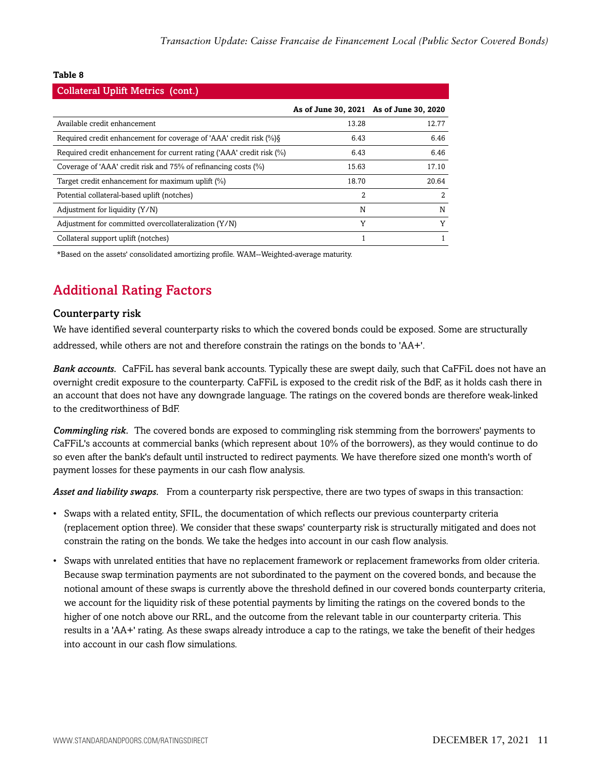| <b>Collateral Uplift Metrics (cont.)</b>                              |       |                                         |  |  |  |
|-----------------------------------------------------------------------|-------|-----------------------------------------|--|--|--|
|                                                                       |       | As of June 30, 2021 As of June 30, 2020 |  |  |  |
| Available credit enhancement                                          | 13.28 | 12.77                                   |  |  |  |
| Required credit enhancement for coverage of 'AAA' credit risk (%)     | 6.43  | 6.46                                    |  |  |  |
| Required credit enhancement for current rating ('AAA' credit risk (%) | 6.43  | 6.46                                    |  |  |  |
| Coverage of 'AAA' credit risk and 75% of refinancing costs (%)        | 15.63 | 17.10                                   |  |  |  |
| Target credit enhancement for maximum uplift (%)                      | 18.70 | 20.64                                   |  |  |  |
| Potential collateral-based uplift (notches)                           | 2     |                                         |  |  |  |
| Adjustment for liquidity $(Y/N)$                                      | N     | N                                       |  |  |  |
| Adjustment for committed overcollateralization (Y/N)                  | Y     | v                                       |  |  |  |
| Collateral support uplift (notches)                                   |       |                                         |  |  |  |

<span id="page-10-0"></span>\*Based on the assets' consolidated amortizing profile. WAM--Weighted-average maturity.

## Additional Rating Factors

#### Counterparty risk

We have identified several counterparty risks to which the covered bonds could be exposed. Some are structurally addressed, while others are not and therefore constrain the ratings on the bonds to 'AA+'.

*Bank accounts.* CaFFiL has several bank accounts. Typically these are swept daily, such that CaFFiL does not have an overnight credit exposure to the counterparty. CaFFiL is exposed to the credit risk of the BdF, as it holds cash there in an account that does not have any downgrade language. The ratings on the covered bonds are therefore weak-linked to the creditworthiness of BdF.

*Commingling risk.* The covered bonds are exposed to commingling risk stemming from the borrowers' payments to CaFFiL's accounts at commercial banks (which represent about 10% of the borrowers), as they would continue to do so even after the bank's default until instructed to redirect payments. We have therefore sized one month's worth of payment losses for these payments in our cash flow analysis.

*Asset and liability swaps.* From a counterparty risk perspective, there are two types of swaps in this transaction:

- Swaps with a related entity, SFIL, the documentation of which reflects our previous counterparty criteria (replacement option three). We consider that these swaps' counterparty risk is structurally mitigated and does not constrain the rating on the bonds. We take the hedges into account in our cash flow analysis.
- Swaps with unrelated entities that have no replacement framework or replacement frameworks from older criteria. Because swap termination payments are not subordinated to the payment on the covered bonds, and because the notional amount of these swaps is currently above the threshold defined in our covered bonds counterparty criteria, we account for the liquidity risk of these potential payments by limiting the ratings on the covered bonds to the higher of one notch above our RRL, and the outcome from the relevant table in our counterparty criteria. This results in a 'AA+' rating. As these swaps already introduce a cap to the ratings, we take the benefit of their hedges into account in our cash flow simulations.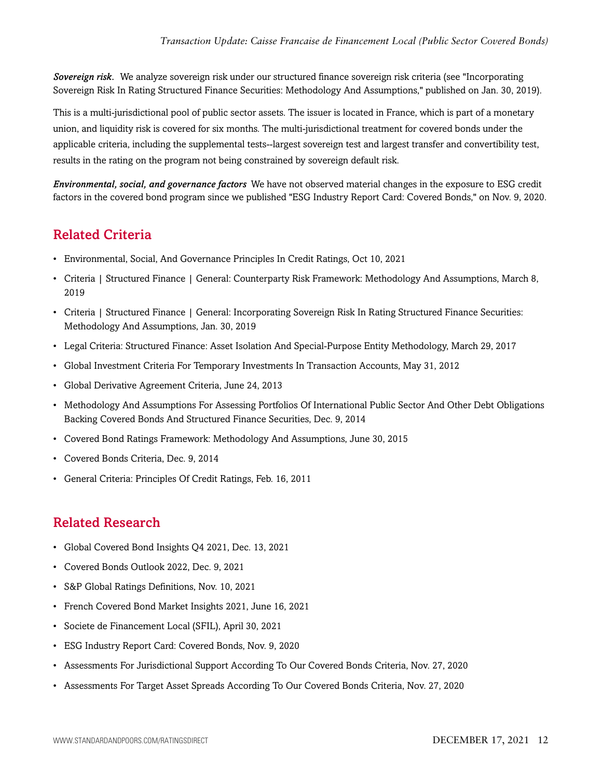*Sovereign risk.* We analyze sovereign risk under our structured finance sovereign risk criteria (see "Incorporating Sovereign Risk In Rating Structured Finance Securities: Methodology And Assumptions," published on Jan. 30, 2019).

This is a multi-jurisdictional pool of public sector assets. The issuer is located in France, which is part of a monetary union, and liquidity risk is covered for six months. The multi-jurisdictional treatment for covered bonds under the applicable criteria, including the supplemental tests--largest sovereign test and largest transfer and convertibility test, results in the rating on the program not being constrained by sovereign default risk.

*Environmental, social, and governance factors* We have not observed material changes in the exposure to ESG credit factors in the covered bond program since we published "ESG Industry Report Card: Covered Bonds," on Nov. 9, 2020.

## <span id="page-11-0"></span>Related Criteria

- Environmental, Social, And Governance Principles In Credit Ratings, Oct 10, 2021
- Criteria | Structured Finance | General: Counterparty Risk Framework: Methodology And Assumptions, March 8, 2019
- Criteria | Structured Finance | General: Incorporating Sovereign Risk In Rating Structured Finance Securities: Methodology And Assumptions, Jan. 30, 2019
- Legal Criteria: Structured Finance: Asset Isolation And Special-Purpose Entity Methodology, March 29, 2017
- Global Investment Criteria For Temporary Investments In Transaction Accounts, May 31, 2012
- Global Derivative Agreement Criteria, June 24, 2013
- Methodology And Assumptions For Assessing Portfolios Of International Public Sector And Other Debt Obligations Backing Covered Bonds And Structured Finance Securities, Dec. 9, 2014
- Covered Bond Ratings Framework: Methodology And Assumptions, June 30, 2015
- Covered Bonds Criteria, Dec. 9, 2014
- General Criteria: Principles Of Credit Ratings, Feb. 16, 2011

## <span id="page-11-1"></span>Related Research

- Global Covered Bond Insights Q4 2021, Dec. 13, 2021
- Covered Bonds Outlook 2022, Dec. 9, 2021
- S&P Global Ratings Definitions, Nov. 10, 2021
- French Covered Bond Market Insights 2021, June 16, 2021
- Societe de Financement Local (SFIL), April 30, 2021
- ESG Industry Report Card: Covered Bonds, Nov. 9, 2020
- Assessments For Jurisdictional Support According To Our Covered Bonds Criteria, Nov. 27, 2020
- Assessments For Target Asset Spreads According To Our Covered Bonds Criteria, Nov. 27, 2020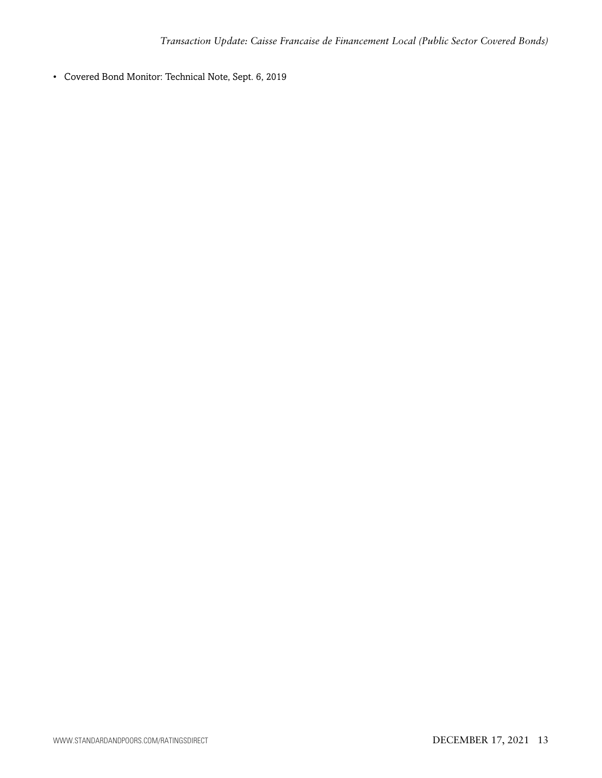• Covered Bond Monitor: Technical Note, Sept. 6, 2019